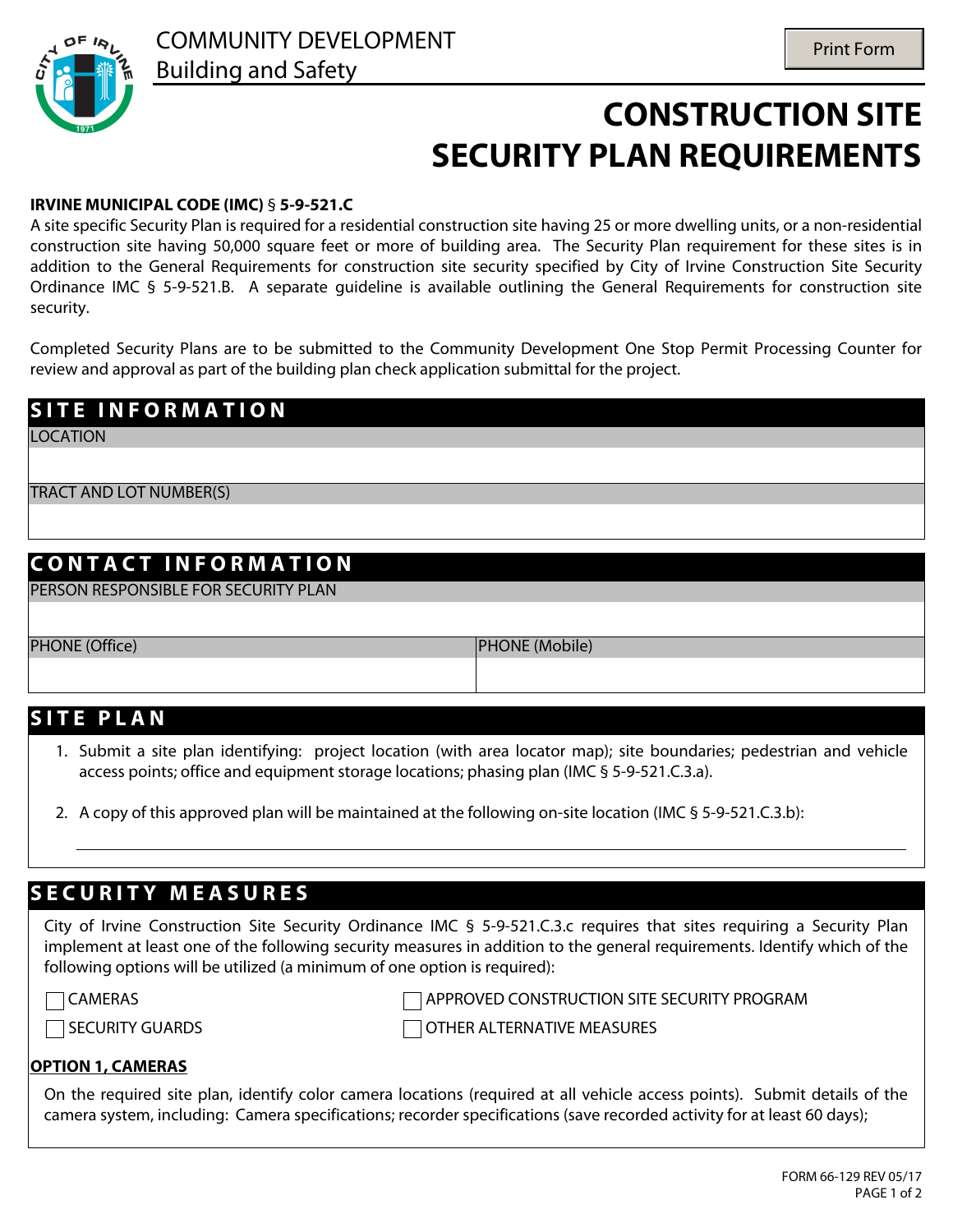

# **CONSTRUCTION SITE SECURITY PLAN REQUIREMENTS**

#### **IRVINE MUNICIPAL CODE (IMC)** § **5-9-521.C**

A site specific Security Plan is required for a residential construction site having 25 or more dwelling units, or a non-residential construction site having 50,000 square feet or more of building area. The Security Plan requirement for these sites is in addition to the General Requirements for construction site security specified by City of Irvine Construction Site Security Ordinance IMC § 5-9-521.B. A separate guideline is available outlining the General Requirements for construction site security.

Completed Security Plans are to be submitted to the Community Development One Stop Permit Processing Counter for review and approval as part of the building plan check application submittal for the project.

## **SITE INFORMATION**

LOCATION

TRACT AND LOT NUMBER(S)

# **C O N T A C T I N F O R M A T I O N**

PERSON RESPONSIBLE FOR SECURITY PLAN

PHONE (Office) PHONE (Mobile)

## **S I T E P L A N**

1. Submit a site plan identifying: project location (with area locator map); site boundaries; pedestrian and vehicle access points; office and equipment storage locations; phasing plan (IMC § 5-9-521.C.3.a).

2. A copy of this approved plan will be maintained at the following on-site location (IMC § 5-9-521.C.3.b):

# **S E C U R I T Y M E A S U R E S**

City of Irvine Construction Site Security Ordinance IMC § 5-9-521.C.3.c requires that sites requiring a Security Plan implement at least one of the following security measures in addition to the general requirements. Identify which of the following options will be utilized (a minimum of one option is required):

**CAMERAS** 

APPROVED CONSTRUCTION SITE SECURITY PROGRAM OTHER ALTERNATIVE MEASURES

#### **OPTION 1, CAMERAS**

**□SECURITY GUARDS** 

On the required site plan, identify color camera locations (required at all vehicle access points). Submit details of the camera system, including: Camera specifications; recorder specifications (save recorded activity for at least 60 days);